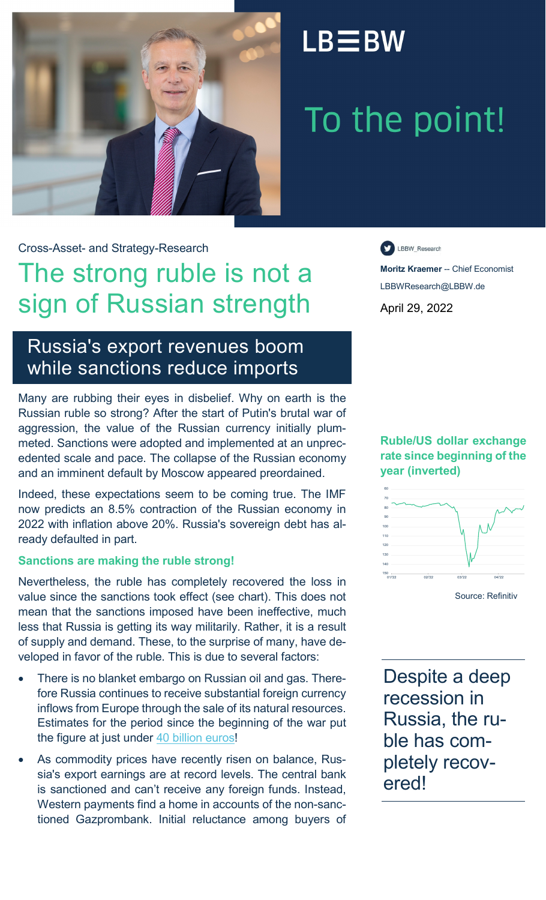

## $LB \equiv BW$

# To the point!

Cross-Asset- and Strategy-Research

## The strong ruble is not a sign of Russian strength

LBBW\_Research

**Moritz Kraemer** -- Chief Economist LBBWResearch@LBBW.de April 29, 2022

## Russia's export revenues boom while sanctions reduce imports

Many are rubbing their eyes in disbelief. Why on earth is the Russian ruble so strong? After the start of Putin's brutal war of aggression, the value of the Russian currency initially plummeted. Sanctions were adopted and implemented at an unprecedented scale and pace. The collapse of the Russian economy and an imminent default by Moscow appeared preordained.

Indeed, these expectations seem to be coming true. The IMF now predicts an 8.5% contraction of the Russian economy in 2022 with inflation above 20%. Russia's sovereign debt has already defaulted in part.

### **Sanctions are making the ruble strong!**

Nevertheless, the ruble has completely recovered the loss in value since the sanctions took effect (see chart). This does not mean that the sanctions imposed have been ineffective, much less that Russia is getting its way militarily. Rather, it is a result of supply and demand. These, to the surprise of many, have developed in favor of the ruble. This is due to several factors:

- There is no blanket embargo on Russian oil and gas. Therefore Russia continues to receive substantial foreign currency inflows from Europe through the sale of its natural resources. Estimates for the period since the beginning of the war put the figure at just under [40 billion euros!](https://www.tagesschau.de/investigativ/monitor/gasembargo-russland-101.html)
- As commodity prices have recently risen on balance, Russia's export earnings are at record levels. The central bank is sanctioned and can't receive any foreign funds. Instead, Western payments find a home in accounts of the non-sanctioned Gazprombank. Initial reluctance among buyers of

**Ruble/US dollar exchange rate since beginning of the year (inverted)**



Source: Refinitiv

Despite a deep recession in Russia, the ruble has completely recovered!